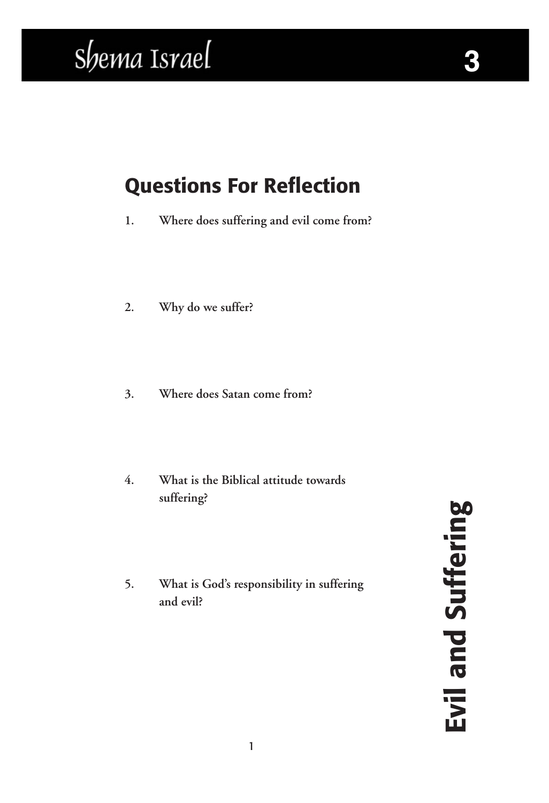## Shema Israel

#### Questions For Reflection

**1. Where does suffering and evil come from?**

- **2. Why do we suffer?**
- **3. Where does Satan come from?**
- **4. What is the Biblical attitude towards suffering?**
- **5. What is God's responsibility in suffering and evil?**

Evil and Suffering Evil and Suffering

**3**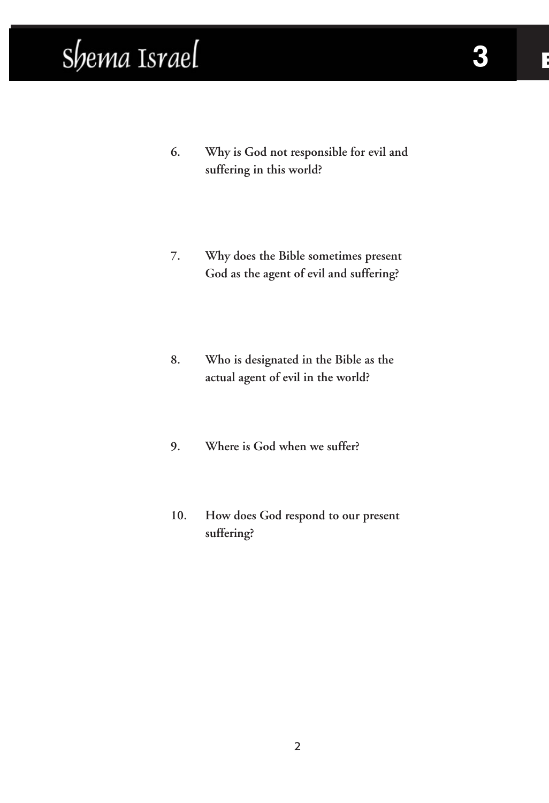### Shema Israel

- **6. Why is God not responsible for evil and suffering in this world?**
- **7. Why does the Bible sometimes present God as the agent of evil and suffering?**
- **8. Who is designated in the Bible as the actual agent of evil in the world?**
- **9. Where is God when we suffer?**
- **10. How does God respond to our present suffering?**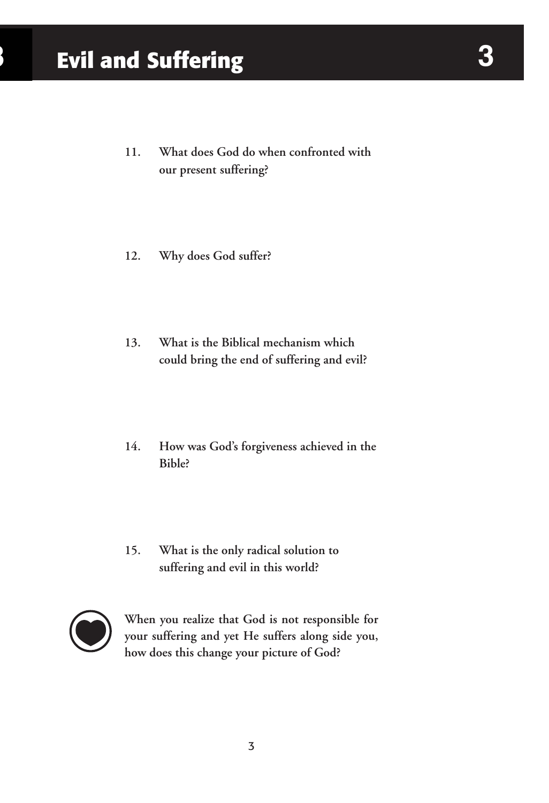- **11. What does God do when confronted with our present suffering?**
- **12. Why does God suffer?**
- **13. What is the Biblical mechanism which could bring the end of suffering and evil?**
- **14. How was God's forgiveness achieved in the Bible?**
- **15. What is the only radical solution to suffering and evil in this world?**



**When you realize that God is not responsible for your suffering and yet He suffers along side you, how does this change your picture of God?**